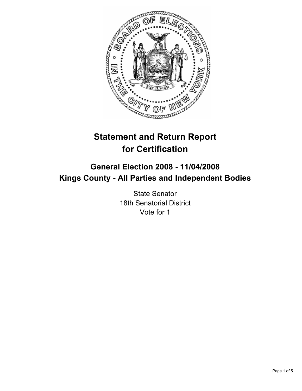

# **Statement and Return Report for Certification**

# **General Election 2008 - 11/04/2008 Kings County - All Parties and Independent Bodies**

State Senator 18th Senatorial District Vote for 1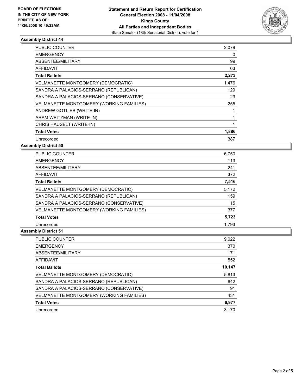

#### **Assembly District 44**

| PUBLIC COUNTER                            | 2,079 |  |
|-------------------------------------------|-------|--|
| <b>EMERGENCY</b>                          | 0     |  |
| ABSENTEE/MILITARY                         | 99    |  |
| <b>AFFIDAVIT</b>                          | 63    |  |
| <b>Total Ballots</b>                      | 2,273 |  |
| <b>VELMANETTE MONTGOMERY (DEMOCRATIC)</b> | 1,476 |  |
| SANDRA A PALACIOS-SERRANO (REPUBLICAN)    | 129   |  |
| SANDRA A PALACIOS-SERRANO (CONSERVATIVE)  | 23    |  |
| VELMANETTE MONTGOMERY (WORKING FAMILIES)  | 255   |  |
| ANDREW GOTLIEB (WRITE-IN)                 |       |  |
| ARAM WEITZMAN (WRITE-IN)                  |       |  |
| CHRIS HAUSELT (WRITE-IN)                  |       |  |
| <b>Total Votes</b>                        | 1,886 |  |
| Unrecorded                                | 387   |  |

**Assembly District 50**

| <b>PUBLIC COUNTER</b>                     | 6,750 |
|-------------------------------------------|-------|
| <b>EMERGENCY</b>                          | 113   |
| ABSENTEE/MILITARY                         | 241   |
| <b>AFFIDAVIT</b>                          | 372   |
| <b>Total Ballots</b>                      | 7,516 |
| <b>VELMANETTE MONTGOMERY (DEMOCRATIC)</b> | 5,172 |
| SANDRA A PALACIOS-SERRANO (REPUBLICAN)    | 159   |
| SANDRA A PALACIOS-SERRANO (CONSERVATIVE)  | 15    |
| VELMANETTE MONTGOMERY (WORKING FAMILIES)  | 377   |
| <b>Total Votes</b>                        | 5,723 |
| Unrecorded                                | 1.793 |

## **Assembly District 51**

| PUBLIC COUNTER                           | 9,022  |
|------------------------------------------|--------|
| <b>EMERGENCY</b>                         | 370    |
| ABSENTEE/MILITARY                        | 171    |
| AFFIDAVIT                                | 552    |
| <b>Total Ballots</b>                     | 10,147 |
| VELMANETTE MONTGOMERY (DEMOCRATIC)       | 5,813  |
| SANDRA A PALACIOS-SERRANO (REPUBLICAN)   | 642    |
| SANDRA A PALACIOS-SERRANO (CONSERVATIVE) | 91     |
| VELMANETTE MONTGOMERY (WORKING FAMILIES) | 431    |
| <b>Total Votes</b>                       | 6,977  |
| Unrecorded                               | 3.170  |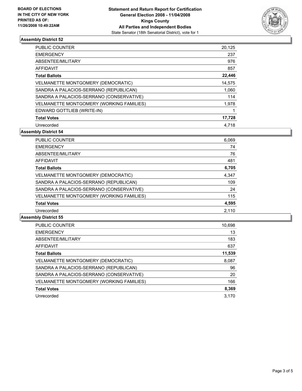

#### **Assembly District 52**

| PUBLIC COUNTER                            | 20,125 |
|-------------------------------------------|--------|
| <b>EMERGENCY</b>                          | 237    |
| ABSENTEE/MILITARY                         | 976    |
| AFFIDAVIT                                 | 857    |
| <b>Total Ballots</b>                      | 22,446 |
| <b>VELMANETTE MONTGOMERY (DEMOCRATIC)</b> | 14,575 |
| SANDRA A PALACIOS-SERRANO (REPUBLICAN)    | 1,060  |
| SANDRA A PALACIOS-SERRANO (CONSERVATIVE)  | 114    |
| VELMANETTE MONTGOMERY (WORKING FAMILIES)  | 1,978  |
| EDWARD GOTTLIEB (WRITE-IN)                |        |
| <b>Total Votes</b>                        | 17,728 |
| Unrecorded                                | 4,718  |

**Assembly District 54**

| PUBLIC COUNTER                           | 6,069 |
|------------------------------------------|-------|
| <b>EMERGENCY</b>                         | 74    |
| ABSENTEE/MILITARY                        | 76    |
| AFFIDAVIT                                | 481   |
| <b>Total Ballots</b>                     | 6,705 |
| VELMANETTE MONTGOMERY (DEMOCRATIC)       | 4,347 |
| SANDRA A PALACIOS-SERRANO (REPUBLICAN)   | 109   |
| SANDRA A PALACIOS-SERRANO (CONSERVATIVE) | 24    |
| VELMANETTE MONTGOMERY (WORKING FAMILIES) | 115   |
| <b>Total Votes</b>                       | 4,595 |
| Unrecorded                               | 2.110 |

## **Assembly District 55**

| <b>PUBLIC COUNTER</b>                    | 10,698 |
|------------------------------------------|--------|
| <b>EMERGENCY</b>                         | 13     |
| ABSENTEE/MILITARY                        | 183    |
| AFFIDAVIT                                | 637    |
| <b>Total Ballots</b>                     | 11,539 |
| VELMANETTE MONTGOMERY (DEMOCRATIC)       | 8,087  |
| SANDRA A PALACIOS-SERRANO (REPUBLICAN)   | 96     |
| SANDRA A PALACIOS-SERRANO (CONSERVATIVE) | 20     |
| VELMANETTE MONTGOMERY (WORKING FAMILIES) | 166    |
| <b>Total Votes</b>                       | 8,369  |
| Unrecorded                               | 3.170  |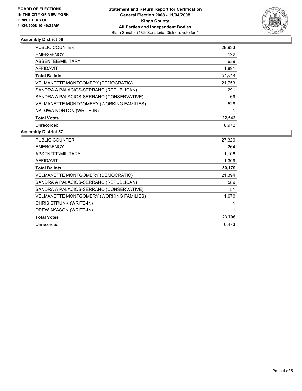

#### **Assembly District 56**

| PUBLIC COUNTER                            | 28,933 |
|-------------------------------------------|--------|
| <b>EMERGENCY</b>                          | 122    |
| ABSENTEE/MILITARY                         | 639    |
| AFFIDAVIT                                 | 1,891  |
| <b>Total Ballots</b>                      | 31,614 |
| <b>VELMANETTE MONTGOMERY (DEMOCRATIC)</b> | 21,753 |
| SANDRA A PALACIOS-SERRANO (REPUBLICAN)    | 291    |
| SANDRA A PALACIOS-SERRANO (CONSERVATIVE)  | 69     |
| VELMANETTE MONTGOMERY (WORKING FAMILIES)  | 528    |
| NADJWA NORTON (WRITE-IN)                  |        |
| <b>Total Votes</b>                        | 22,642 |
| Unrecorded                                | 8.972  |

#### **Assembly District 57**

| <b>PUBLIC COUNTER</b>                     | 27,326 |
|-------------------------------------------|--------|
| <b>EMERGENCY</b>                          | 264    |
| ABSENTEE/MILITARY                         | 1,108  |
| <b>AFFIDAVIT</b>                          | 1,309  |
| <b>Total Ballots</b>                      | 30,179 |
| <b>VELMANETTE MONTGOMERY (DEMOCRATIC)</b> | 21,394 |
| SANDRA A PALACIOS-SERRANO (REPUBLICAN)    | 589    |
| SANDRA A PALACIOS-SERRANO (CONSERVATIVE)  | 51     |
| VELMANETTE MONTGOMERY (WORKING FAMILIES)  | 1,670  |
| CHRIS STRUNK (WRITE-IN)                   |        |
| DREW AKASON (WRITE-IN)                    |        |
| <b>Total Votes</b>                        | 23,706 |
| Unrecorded                                | 6.473  |